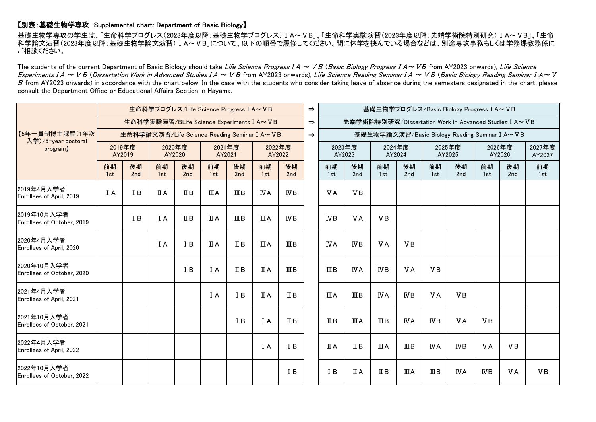## 【別表:基礎生物学専攻 Supplemental chart: Department of Basic Biology】

基礎生物学専攻の学生は、「生命科学プログレス(2023年度以降:基礎生物学プログレス)ⅠA~ⅤB」、「生命科学実験演習(2023年度以降:先端学術院特別研究)ⅠA~ⅤB」、「生命 科学論文演習(2023年度以降:基礎生物学論文演習)ⅠA~ⅤB」について、以下の順番で履修してください。間に休学を挟んでいる場合などは、別途専攻事務もしくは学務課教務係に ご相談ください。

The students of the current Department of Basic Biology should take Life Science Progress I A ~ V B (Basic Biology Progress I A ~ VB from AY2023 onwards), Life Science Experiments I A ~ V B (Dissertation Work in Advanced Studies I A ~ V B from AY2023 onwards), Life Science Reading Seminar I A ~ V B (Basic Biology Reading Seminar I A~ $V$  $B$  from AY2023 onwards) in accordance with the chart below. In the case with the students who consider taking leave of absence during the semesters designated in the chart, please consult the Department Office or Educational Affairs Section in Hayama.

| 【5年一貫制博士課程(1年次<br>入学)/5-year doctoral<br>program) | 生命科学プログレス/Life Science Progress I A~VB       |           |                  |                |                  |                    |                  |                 |  |                         | 基礎生物学プログレス/Basic Biology Progress I A~VB<br>先端学術院特別研究/Dissertation Work in Advanced Studies I A~ VB<br>基礎生物学論文演習/Basic Biology Reading Seminar I A~VB |                  |                |                         |            |                  |           |                  |
|---------------------------------------------------|----------------------------------------------|-----------|------------------|----------------|------------------|--------------------|------------------|-----------------|--|-------------------------|-------------------------------------------------------------------------------------------------------------------------------------------------------|------------------|----------------|-------------------------|------------|------------------|-----------|------------------|
|                                                   | 生命科学実験演習/BLife Science Experiments I A~VB    |           |                  |                |                  |                    |                  |                 |  |                         |                                                                                                                                                       |                  |                |                         |            |                  |           |                  |
|                                                   | 生命科学論文演習/Life Science Reading Seminar I A~VB |           |                  |                |                  |                    |                  |                 |  |                         |                                                                                                                                                       |                  |                |                         |            |                  |           |                  |
|                                                   | 2019年度<br>AY2019                             |           | 2020年度<br>AY2020 |                | 2021年度<br>AY2021 |                    | 2022年度<br>AY2022 |                 |  | 2023年度<br>AY2023        |                                                                                                                                                       | 2024年度<br>AY2024 |                | 2025年度<br>AY2025        |            | 2026年度<br>AY2026 |           | 2027年度<br>AY2027 |
|                                                   | 前期<br>1st                                    | 後期<br>2nd | 前期<br>1st        | 後期<br>2nd      | 前期<br>1st        | 後期<br>2nd          | 前期<br>1st        | 後期<br>2nd       |  | 前期<br>1st               | 後期<br>2nd                                                                                                                                             | 前期<br>1st        | 後期<br>2nd      | 前期<br>1st               | 後期<br>2nd  | 前期<br>1st        | 後期<br>2nd | 前期<br>1st        |
| 2019年4月入学者<br>Enrollees of April, 2019            | I A                                          | I B       | ΠA               | $\mathbb{I}$ B | ШA               | $\mathbf{I}$ III B | <b>NA</b>        | $_{\text{IVB}}$ |  | V <sub>A</sub>          | <b>VB</b>                                                                                                                                             |                  |                |                         |            |                  |           |                  |
| 2019年10月入学者<br>Enrollees of October, 2019         |                                              | I B       | I A              | $I\!I B$       | ΠA               | $\mathbf{I}$ III B | ШA               | $WB$            |  | $\overline{\text{W}}$ B | <b>VA</b>                                                                                                                                             | <b>VB</b>        |                |                         |            |                  |           |                  |
| 2020年4月入学者<br>Enrollees of April, 2020            |                                              |           | I A              | I B            | ΠA               | $\mathbb{I}$ B     | ШA               | ШB              |  | <b>IVA</b>              | ΝB                                                                                                                                                    | <b>VA</b>        | <b>VB</b>      |                         |            |                  |           |                  |
| 2020年10月入学者<br>Enrollees of October, 2020         |                                              |           |                  | I B            | I A              | $\mathbb{I}$ B     | <b>ΠA</b>        | $\mathbb{I}$ B  |  | ШB                      | <b>IVA</b>                                                                                                                                            | $_{\text{IVB}}$  | <b>VA</b>      | <b>VB</b>               |            |                  |           |                  |
| 2021年4月入学者<br>Enrollees of April, 2021            |                                              |           |                  |                | I A              | I B                | ΠA               | ΠВ              |  | ШA                      | ШΒ                                                                                                                                                    | IVΑ              | $_{\rm IVB}$   | <b>VA</b>               | <b>VB</b>  |                  |           |                  |
| 2021年10月入学者<br>Enrollees of October, 2021         |                                              |           |                  |                |                  | I B                | I A              | $\mathbb{I}$ B  |  | $I\!I B$                | ШA                                                                                                                                                    | $\mathbb{I}$ B   | <b>IVA</b>     | $_{\text{IVB}}$         | <b>VA</b>  | <b>VB</b>        |           |                  |
| 2022年4月入学者<br>Enrollees of April, 2022            |                                              |           |                  |                |                  |                    | I A              | I B             |  | ПA                      | ΠВ                                                                                                                                                    | ШA               | $\mathbb{I}$ B | <b>IVA</b>              | <b>NB</b>  | <b>VA</b>        | <b>VB</b> |                  |
| 2022年10月入学者<br>Enrollees of October, 2022         |                                              |           |                  |                |                  |                    |                  | I B             |  | I <sub>B</sub>          | ПA                                                                                                                                                    | ΠВ               | ШA             | $\mathbf{I} \mathbf{I}$ | <b>IVA</b> | <b>IVB</b>       | <b>VA</b> | <b>VB</b>        |